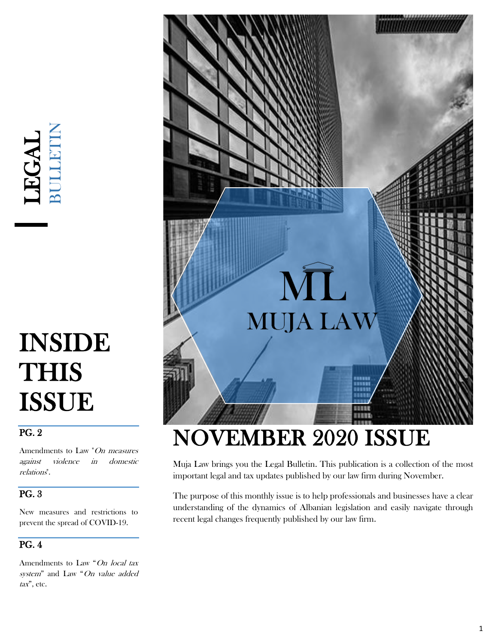# LEGAL<br>BULLETIN

# INSIDE **THIS** ISSUE

### PG. 2

Amendments to Law "On measures against violence in domestic relations".

#### PG. 3

New measures and restrictions to prevent the spread of COVID-19.

#### PG. 4

Amendments to Law "On local tax system" and Law "On value added tax", etc.



# NOVEMBER 2020 ISSUE

Muja Law brings you the Legal Bulletin. This publication is a collection of the most important legal and tax updates published by our law firm during November.

The purpose of this monthly issue is to help professionals and businesses have a clear understanding of the dynamics of Albanian legislation and easily navigate through recent legal changes frequently published by our law firm.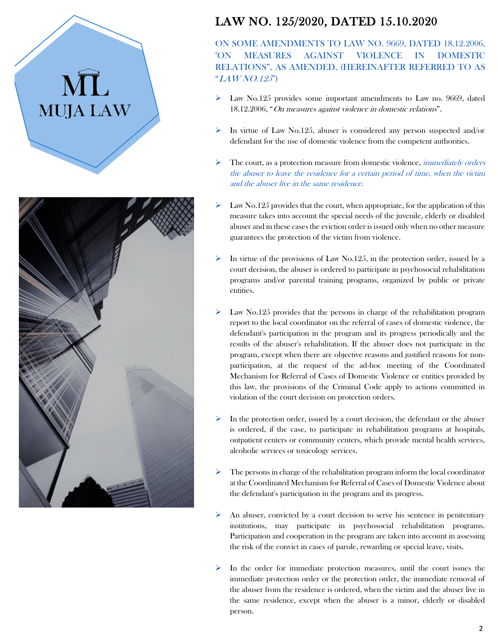



## LAW NO. 125/2020, DATED 15.10.2020

ON SOME AMENDMENTS TO LAW NO. 9669, DATED 18.12.2006, "ON MEASURES AGAINST VIOLENCE IN DOMESTIC RELATIONS", AS AMENDED, (HEREINAFTER REFERRED TO AS "LAW NO.125")

- $\triangleright$  Law No.125 provides some important amendments to Law no. 9669, dated 18.12.2006, "On measures against violence in domestic relations".
- $\triangleright$  In virtue of Law No.125, abuser is considered any person suspected and/or defendant for the use of domestic violence from the competent authorities.
- $\triangleright$  The court, as a protection measure from domestic violence, *immediately orders* the abuser to leave the residence for a certain period of time, when the victim and the abuser live in the same residence.
- Law No.125 provides that the court, when appropriate, for the application of this measure takes into account the special needs of the juvenile, elderly or disabled abuser and in these cases the eviction order is issued only when no other measure guarantees the protection of the victim from violence.
- In virtue of the provisions of Law No.125, in the protection order, issued by a court decision, the abuser is ordered to participate in psychosocial rehabilitation programs and/or parental training programs, organized by public or private entities.
- Law No.125 provides that the persons in charge of the rehabilitation program report to the local coordinator on the referral of cases of domestic violence, the defendant's participation in the program and its progress periodically and the results of the abuser's rehabilitation. If the abuser does not participate in the program, except when there are objective reasons and justified reasons for nonparticipation, at the request of the ad-hoc meeting of the Coordinated Mechanism for Referral of Cases of Domestic Violence or entities provided by this law, the provisions of the Criminal Code apply to actions committed in violation of the court decision on protection orders.
- In the protection order, issued by a court decision, the defendant or the abuser is ordered, if the case, to participate in rehabilitation programs at hospitals, outpatient centers or community centers, which provide mental health services, alcoholic services or toxicology services.
- ➢ The persons in charge of the rehabilitation program inform the local coordinator at the Coordinated Mechanism for Referral of Cases of Domestic Violence about the defendant's participation in the program and its progress.
- $\triangleright$  An abuser, convicted by a court decision to serve his sentence in penitentiary institutions, may participate in psychosocial rehabilitation programs. Participation and cooperation in the program are taken into account in assessing the risk of the convict in cases of parole, rewarding or special leave, visits.
- In the order for immediate protection measures, until the court issues the immediate protection order or the protection order, the immediate removal of the abuser from the residence is ordered, when the victim and the abuser live in the same residence, except when the abuser is a minor, elderly or disabled person.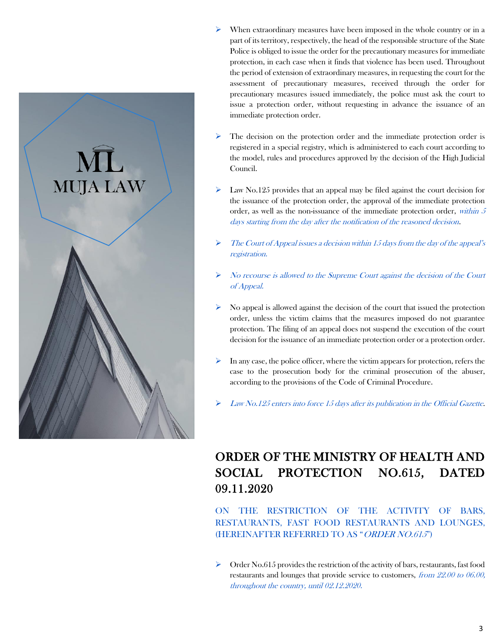

- $\triangleright$  When extraordinary measures have been imposed in the whole country or in a part of its territory, respectively, the head of the responsible structure of the State Police is obliged to issue the order for the precautionary measures for immediate protection, in each case when it finds that violence has been used. Throughout the period of extension of extraordinary measures, in requesting the court for the assessment of precautionary measures, received through the order for precautionary measures issued immediately, the police must ask the court to issue a protection order, without requesting in advance the issuance of an immediate protection order.
- The decision on the protection order and the immediate protection order is registered in a special registry, which is administered to each court according to the model, rules and procedures approved by the decision of the High Judicial Council.
- $\triangleright$  Law No.125 provides that an appeal may be filed against the court decision for the issuance of the protection order, the approval of the immediate protection order, as well as the non-issuance of the immediate protection order, within 5 days starting from the day after the notification of the reasoned decision.
- $\triangleright$  The Court of Appeal issues a decision within 15 days from the day of the appeal's registration.
- ➢ No recourse is allowed to the Supreme Court against the decision of the Court of Appeal.
- ➢ No appeal is allowed against the decision of the court that issued the protection order, unless the victim claims that the measures imposed do not guarantee protection. The filing of an appeal does not suspend the execution of the court decision for the issuance of an immediate protection order or a protection order.
- $\triangleright$  In any case, the police officer, where the victim appears for protection, refers the case to the prosecution body for the criminal prosecution of the abuser, according to the provisions of the Code of Criminal Procedure.
- Law No.125 enters into force 15 days after its publication in the Official Gazette.

# ORDER OF THE MINISTRY OF HEALTH AND SOCIAL PROTECTION NO.615, DATED 09.11.2020

ON THE RESTRICTION OF THE ACTIVITY OF BARS, RESTAURANTS, FAST FOOD RESTAURANTS AND LOUNGES, (HEREINAFTER REFERRED TO AS "ORDER NO.615")

 $\triangleright$  Order No.615 provides the restriction of the activity of bars, restaurants, fast food restaurants and lounges that provide service to customers, from 22.00 to 06.00, throughout the country, until 02.12.2020.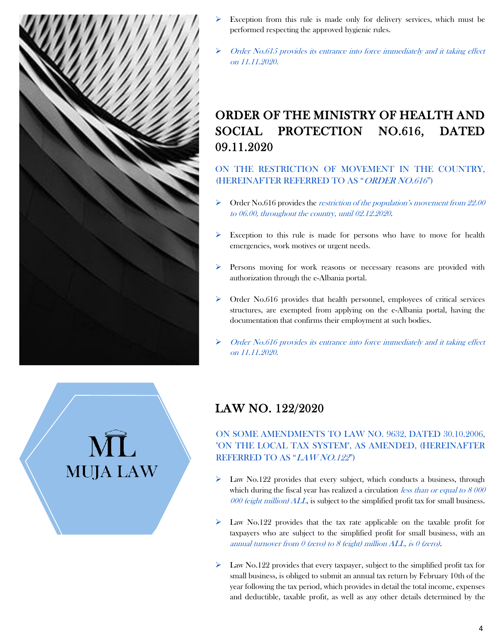

**MUJA LAW** 

- Exception from this rule is made only for delivery services, which must be performed respecting the approved hygienic rules.
- Order No.615 provides its entrance into force immediately and it taking effect on 11.11.2020.

# ORDER OF THE MINISTRY OF HEALTH AND SOCIAL PROTECTION NO.616, DATED 09.11.2020

ON THE RESTRICTION OF MOVEMENT IN THE COUNTRY, (HEREINAFTER REFERRED TO AS "ORDER NO.616")

- $\triangleright$  Order No.616 provides the *restriction of the population's movement from 22.00* to 06.00, throughout the country, until 02.12.2020.
- ➢ Exception to this rule is made for persons who have to move for health emergencies, work motives or urgent needs.
- ➢ Persons moving for work reasons or necessary reasons are provided with authorization through the e-Albania portal.
- ➢ Order No.616 provides that health personnel, employees of critical services structures, are exempted from applying on the e-Albania portal, having the documentation that confirms their employment at such bodies.
- Order No.616 provides its entrance into force immediately and it taking effect on 11.11.2020.

## LAW NO. 122/2020

#### ON SOME AMENDMENTS TO LAW NO. 9632, DATED 30.10.2006, "ON THE LOCAL TAX SYSTEM", AS AMENDED, (HEREINAFTER REFERRED TO AS "LAW NO.122")

- $\triangleright$  Law No.122 provides that every subject, which conducts a business, through which during the fiscal year has realized a circulation *less than or equal to 8 000*  $000$  (eight million)  $ALL$ , is subject to the simplified profit tax for small business.
- ➢ Law No.122 provides that the tax rate applicable on the taxable profit for taxpayers who are subject to the simplified profit for small business, with an annual turnover from  $\theta$  (zero) to 8 (eight) million ALL, is  $\theta$  (zero).
- $\triangleright$  Law No.122 provides that every taxpayer, subject to the simplified profit tax for small business, is obliged to submit an annual tax return by February 10th of the year following the tax period, which provides in detail the total income, expenses and deductible, taxable profit, as well as any other details determined by the

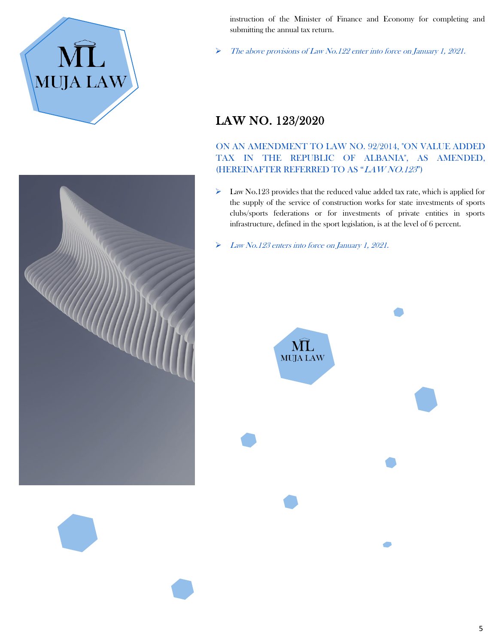



➢ The above provisions of Law No.122 enter into force on January 1, 2021.

# LAW NO. 123/2020

#### ON AN AMENDMENT TO LAW NO. 92/2014, "ON VALUE ADDED TAX IN THE REPUBLIC OF ALBANIA", AS AMENDED, (HEREINAFTER REFERRED TO AS "LAW NO.123")

- ➢ Law No.123 provides that the reduced value added tax rate, which is applied for the supply of the service of construction works for state investments of sports clubs/sports federations or for investments of private entities in sports infrastructure, defined in the sport legislation, is at the level of 6 percent.
- ➢ Law No.123 enters into force on January 1, 2021.



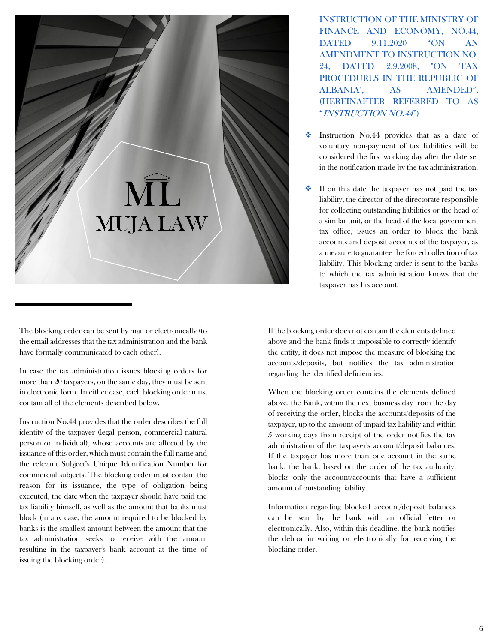

INSTRUCTION OF THE MINISTRY OF FINANCE AND ECONOMY, NO.44, DATED 9.11.2020 "ON AN AMENDMENT TO INSTRUCTION NO. 24, DATED 2.9.2008, "ON TAX PROCEDURES IN THE REPUBLIC OF ALBANIA", AS AMENDED", (HEREINAFTER REFERRED TO AS "INSTRUCTION NO.44")

- Instruction No.44 provides that as a date of voluntary non-payment of tax liabilities will be considered the first working day after the date set in the notification made by the tax administration.
- ❖ If on this date the taxpayer has not paid the tax liability, the director of the directorate responsible for collecting outstanding liabilities or the head of a similar unit, or the head of the local government tax office, issues an order to block the bank accounts and deposit accounts of the taxpayer, as a measure to guarantee the forced collection of tax liability. This blocking order is sent to the banks to which the tax administration knows that the taxpayer has his account.

The blocking order can be sent by mail or electronically (to the email addresses that the tax administration and the bank have formally communicated to each other).

In case the tax administration issues blocking orders for more than 20 taxpayers, on the same day, they must be sent in electronic form. In either case, each blocking order must contain all of the elements described below.

Instruction No.44 provides that the order describes the full identity of the taxpayer (legal person, commercial natural person or individual), whose accounts are affected by the issuance of this order, which must contain the full name and the relevant Subject's Unique Identification Number for commercial subjects. The blocking order must contain the reason for its issuance, the type of obligation being executed, the date when the taxpayer should have paid the tax liability himself, as well as the amount that banks must block (in any case, the amount required to be blocked by banks is the smallest amount between the amount that the tax administration seeks to receive with the amount resulting in the taxpayer's bank account at the time of issuing the blocking order).

If the blocking order does not contain the elements defined above and the bank finds it impossible to correctly identify the entity, it does not impose the measure of blocking the accounts/deposits, but notifies the tax administration regarding the identified deficiencies.

When the blocking order contains the elements defined above, the Bank, within the next business day from the day of receiving the order, blocks the accounts/deposits of the taxpayer, up to the amount of unpaid tax liability and within 5 working days from receipt of the order notifies the tax administration of the taxpayer's account/deposit balances. If the taxpayer has more than one account in the same bank, the bank, based on the order of the tax authority, blocks only the account/accounts that have a sufficient amount of outstanding liability.

Information regarding blocked account/deposit balances can be sent by the bank with an official letter or electronically. Also, within this deadline, the bank notifies the debtor in writing or electronically for receiving the blocking order.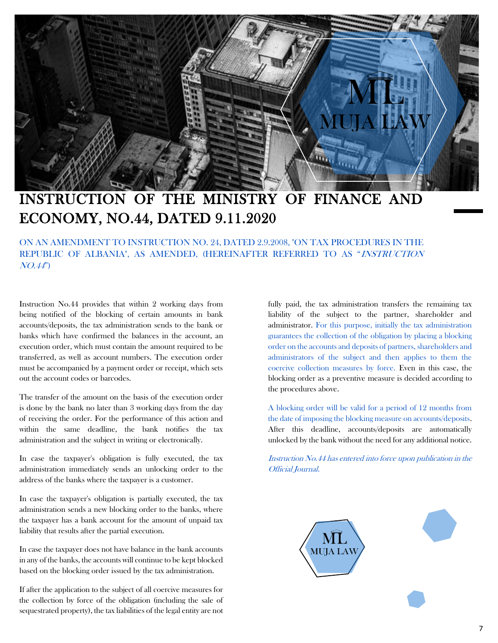

# INSTRUCTION OF THE MINISTRY OF FINANCE AND ECONOMY, NO.44, DATED 9.11.2020

ON AN AMENDMENT TO INSTRUCTION NO. 24, DATED 2.9.2008, "ON TAX PROCEDURES IN THE REPUBLIC OF ALBANIA", AS AMENDED, (HEREINAFTER REFERRED TO AS "INSTRUCTION NO.44")

Instruction No.44 provides that within 2 working days from being notified of the blocking of certain amounts in bank accounts/deposits, the tax administration sends to the bank or banks which have confirmed the balances in the account, an execution order, which must contain the amount required to be transferred, as well as account numbers. The execution order must be accompanied by a payment order or receipt, which sets out the account codes or barcodes.

The transfer of the amount on the basis of the execution order is done by the bank no later than 3 working days from the day of receiving the order. For the performance of this action and within the same deadline, the bank notifies the tax administration and the subject in writing or electronically.

In case the taxpayer's obligation is fully executed, the tax administration immediately sends an unlocking order to the address of the banks where the taxpayer is a customer.

In case the taxpayer's obligation is partially executed, the tax administration sends a new blocking order to the banks, where the taxpayer has a bank account for the amount of unpaid tax liability that results after the partial execution.

In case the taxpayer does not have balance in the bank accounts in any of the banks, the accounts will continue to be kept blocked based on the blocking order issued by the tax administration.

If after the application to the subject of all coercive measures for the collection by force of the obligation (including the sale of sequestrated property), the tax liabilities of the legal entity are not fully paid, the tax administration transfers the remaining tax liability of the subject to the partner, shareholder and administrator. For this purpose, initially the tax administration guarantees the collection of the obligation by placing a blocking order on the accounts and deposits of partners, shareholders and administrators of the subject and then applies to them the coercive collection measures by force. Even in this case, the blocking order as a preventive measure is decided according to the procedures above.

A blocking order will be valid for a period of 12 months from the date of imposing the blocking measure on accounts/deposits. After this deadline, accounts/deposits are automatically unlocked by the bank without the need for any additional notice.

Instruction No.44 has entered into force upon publication in the Official Journal.